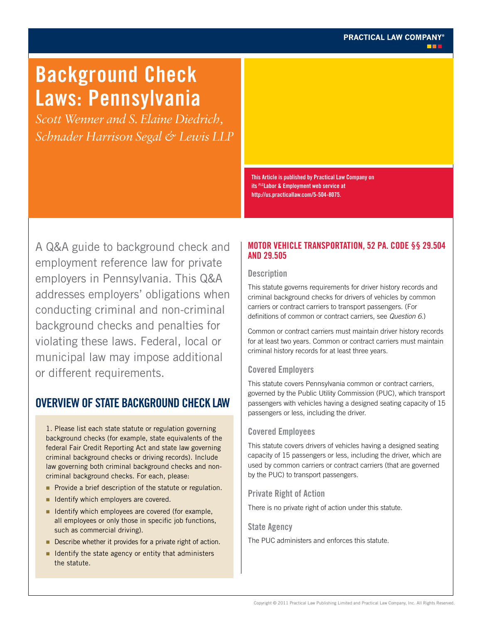# **PRACTICAL LAW COMPANY®**

# **Background Check Laws: Pennsylvania**

*Scott Wenner and S. Elaine Diedrich, Schnader Harrison Segal & Lewis LLP*

> **This Article is published by Practical Law Company on its PLCLabor & Employment web service at http://us.practicallaw.com/5-504-8075.**

A Q&A guide to background check and employment reference law for private employers in Pennsylvania. This Q&A addresses employers' obligations when conducting criminal and non-criminal background checks and penalties for violating these laws. Federal, local or municipal law may impose additional or different requirements.

# **Overview of State Background Check Law**

1. Please list each state statute or regulation governing background checks (for example, state equivalents of the federal Fair Credit Reporting Act and state law governing criminal background checks or driving records). Include law governing both criminal background checks and noncriminal background checks. For each, please:

- Provide a brief description of the statute or regulation.
- I dentify which employers are covered.
- I Identify which employees are covered (for example, all employees or only those in specific job functions, such as commercial driving).
- Describe whether it provides for a private right of action.
- I Identify the state agency or entity that administers the statute.

# **Motor Vehicle Transportation, 52 Pa. Code §§ 29.504 and 29.505**

#### **Description**

This statute governs requirements for driver history records and criminal background checks for drivers of vehicles by common carriers or contract carriers to transport passengers. (For definitions of common or contract carriers, see *Question 6*.)

Common or contract carriers must maintain driver history records for at least two years. Common or contract carriers must maintain criminal history records for at least three years.

#### **Covered Employers**

This statute covers Pennsylvania common or contract carriers, governed by the Public Utility Commission (PUC), which transport passengers with vehicles having a designed seating capacity of 15 passengers or less, including the driver.

#### **Covered Employees**

This statute covers drivers of vehicles having a designed seating capacity of 15 passengers or less, including the driver, which are used by common carriers or contract carriers (that are governed by the PUC) to transport passengers.

#### **Private Right of Action**

There is no private right of action under this statute.

#### **State Agency**

The PUC administers and enforces this statute.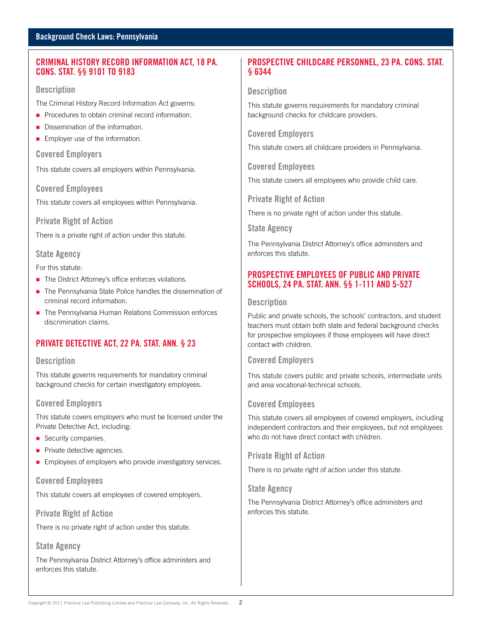#### **Background Check Laws: Pennsylvania**

### **Criminal History Record Information Act, 18 Pa. Cons. Stat. §§ 9101 to 9183**

#### **Description**

The Criminal History Record Information Act governs:

- **Procedures to obtain criminal record information.**
- Dissemination of the information.
- **Employer use of the information.**

#### **Covered Employers**

This statute covers all employers within Pennsylvania.

#### **Covered Employees**

This statute covers all employees within Pennsylvania.

#### **Private Right of Action**

There is a private right of action under this statute.

#### **State Agency**

For this statute:

- The District Attorney's office enforces violations.
- The Pennsylvania State Police handles the dissemination of criminal record information.
- The Pennsylvania Human Relations Commission enforces discrimination claims.

# **Private Detective Act, 22 Pa. Stat. Ann. § 23**

#### **Description**

This statute governs requirements for mandatory criminal background checks for certain investigatory employees.

#### **Covered Employers**

This statute covers employers who must be licensed under the Private Detective Act, including:

- Security companies.
- **Private detective agencies.**
- **Employees of employers who provide investigatory services.**

#### **Covered Employees**

This statute covers all employees of covered employers.

**Private Right of Action**

There is no private right of action under this statute.

# **State Agency**

The Pennsylvania District Attorney's office administers and enforces this statute.

# **Prospective Childcare Personnel, 23 Pa. Cons. Stat. § 6344**

#### **Description**

This statute governs requirements for mandatory criminal background checks for childcare providers.

**Covered Employers**

This statute covers all childcare providers in Pennsylvania.

**Covered Employees**

This statute covers all employees who provide child care.

**Private Right of Action** 

There is no private right of action under this statute.

**State Agency**

The Pennsylvania District Attorney's office administers and enforces this statute.

# **Prospective Employees of Public and Private Schools, 24 Pa. Stat. Ann. §§ 1-111 and 5-527**

#### **Description**

Public and private schools, the schools' contractors, and student teachers must obtain both state and federal background checks for prospective employees if those employees will have direct contact with children.

#### **Covered Employers**

This statute covers public and private schools, intermediate units and area vocational-technical schools.

#### **Covered Employees**

This statute covers all employees of covered employers, including independent contractors and their employees, but not employees who do not have direct contact with children.

#### **Private Right of Action**

There is no private right of action under this statute.

#### **State Agency**

The Pennsylvania District Attorney's office administers and enforces this statute.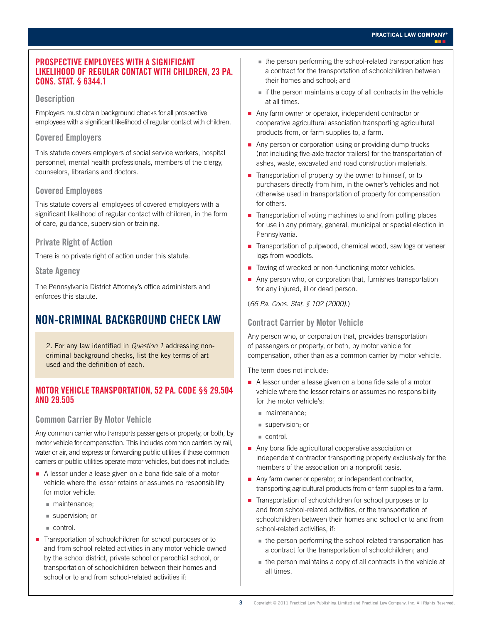#### **Prospective Employees with a Significant Likelihood of Regular Contact with Children, 23 Pa. Cons. Stat. § 6344.1**

#### **Description**

Employers must obtain background checks for all prospective employees with a significant likelihood of regular contact with children.

#### **Covered Employers**

This statute covers employers of social service workers, hospital personnel, mental health professionals, members of the clergy, counselors, librarians and doctors.

# **Covered Employees**

This statute covers all employees of covered employers with a significant likelihood of regular contact with children, in the form of care, guidance, supervision or training.

#### **Private Right of Action**

There is no private right of action under this statute.

#### **State Agency**

The Pennsylvania District Attorney's office administers and enforces this statute.

# **Non-criminal Background Check Law**

2. For any law identified in *Question 1* addressing noncriminal background checks, list the key terms of art used and the definition of each.

#### **Motor Vehicle Transportation, 52 Pa. Code §§ 29.504 and 29.505**

#### **Common Carrier By Motor Vehicle**

Any common carrier who transports passengers or property, or both, by motor vehicle for compensation. This includes common carriers by rail, water or air, and express or forwarding public utilities if those common carriers or public utilities operate motor vehicles, but does not include:

- A lessor under a lease given on a bona fide sale of a motor vehicle where the lessor retains or assumes no responsibility for motor vehicle:
	- maintenance;
	- supervision; or
	- control.
- Transportation of schoolchildren for school purposes or to and from school-related activities in any motor vehicle owned by the school district, private school or parochial school, or transportation of schoolchildren between their homes and school or to and from school-related activities if:
- the person performing the school-related transportation has a contract for the transportation of schoolchildren between their homes and school; and
- $\blacksquare$  if the person maintains a copy of all contracts in the vehicle at all times.
- Any farm owner or operator, independent contractor or cooperative agricultural association transporting agricultural products from, or farm supplies to, a farm.
- Any person or corporation using or providing dump trucks (not including five-axle tractor trailers) for the transportation of ashes, waste, excavated and road construction materials.
- Transportation of property by the owner to himself, or to purchasers directly from him, in the owner's vehicles and not otherwise used in transportation of property for compensation for others.
- Transportation of voting machines to and from polling places for use in any primary, general, municipal or special election in Pennsylvania.
- Transportation of pulpwood, chemical wood, saw logs or veneer logs from woodlots.
- Towing of wrecked or non-functioning motor vehicles.
- Any person who, or corporation that, furnishes transportation for any injured, ill or dead person.

(*66 Pa. Cons. Stat. § 102 (2000)*.)

#### **Contract Carrier by Motor Vehicle**

Any person who, or corporation that, provides transportation of passengers or property, or both, by motor vehicle for compensation, other than as a common carrier by motor vehicle.

The term does not include:

- A lessor under a lease given on a bona fide sale of a motor vehicle where the lessor retains or assumes no responsibility for the motor vehicle's:
	- maintenance;
	- supervision; or
	- control.
- Any bona fide agricultural cooperative association or independent contractor transporting property exclusively for the members of the association on a nonprofit basis.
- Any farm owner or operator, or independent contractor, transporting agricultural products from or farm supplies to a farm.
- Transportation of schoolchildren for school purposes or to and from school-related activities, or the transportation of schoolchildren between their homes and school or to and from school-related activities, if:
	- the person performing the school-related transportation has a contract for the transportation of schoolchildren; and
	- the person maintains a copy of all contracts in the vehicle at all times.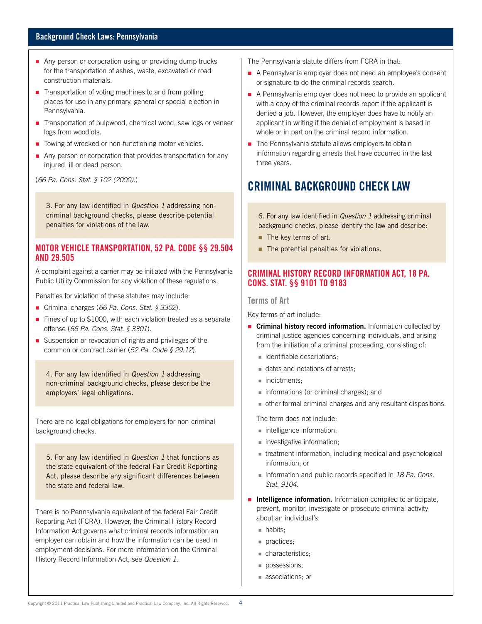#### **Background Check Laws: Pennsylvania**

- Any person or corporation using or providing dump trucks for the transportation of ashes, waste, excavated or road construction materials.
- $\blacksquare$  Transportation of voting machines to and from polling places for use in any primary, general or special election in Pennsylvania.
- Transportation of pulpwood, chemical wood, saw logs or veneer logs from woodlots.
- Towing of wrecked or non-functioning motor vehicles.
- Any person or corporation that provides transportation for any injured, ill or dead person.

(*66 Pa. Cons. Stat. § 102 (2000)*.)

3. For any law identified in *Question 1* addressing noncriminal background checks, please describe potential penalties for violations of the law.

#### **Motor Vehicle Transportation, 52 Pa. Code §§ 29.504 and 29.505**

A complaint against a carrier may be initiated with the Pennsylvania Public Utility Commission for any violation of these regulations.

Penalties for violation of these statutes may include:

- Criminal charges (66 Pa. Cons. Stat. § 3302).
- Fines of up to \$1000, with each violation treated as a separate offense (*66 Pa. Cons. Stat. § 3301*).
- Suspension or revocation of rights and privileges of the common or contract carrier (*52 Pa. Code § 29.12*).

4. For any law identified in *Question 1* addressing non-criminal background checks, please describe the employers' legal obligations.

There are no legal obligations for employers for non-criminal background checks.

5. For any law identified in *Question 1* that functions as the state equivalent of the federal Fair Credit Reporting Act, please describe any significant differences between the state and federal law.

There is no Pennsylvania equivalent of the federal Fair Credit Reporting Act (FCRA). However, the Criminal History Record Information Act governs what criminal records information an employer can obtain and how the information can be used in employment decisions. For more information on the Criminal History Record Information Act, see *Question 1*.

The Pennsylvania statute differs from FCRA in that:

- A Pennsylvania employer does not need an employee's consent or signature to do the criminal records search.
- A Pennsylvania employer does not need to provide an applicant with a copy of the criminal records report if the applicant is denied a job. However, the employer does have to notify an applicant in writing if the denial of employment is based in whole or in part on the criminal record information.
- The Pennsylvania statute allows employers to obtain information regarding arrests that have occurred in the last three years.

# **Criminal Background Check Law**

6. For any law identified in *Question 1* addressing criminal background checks, please identify the law and describe:

- The key terms of art.
- The potential penalties for violations.

#### **Criminal History Record Information Act, 18 Pa. Cons. Stat. §§ 9101 to 9183**

#### **Terms of Art**

Key terms of art include:

- **Criminal history record information.** Information collected by criminal justice agencies concerning individuals, and arising from the initiation of a criminal proceeding, consisting of:
	- **identifiable descriptions;**
	- dates and notations of arrests;
	- indictments:
	- **informations (or criminal charges); and**
	- other formal criminal charges and any resultant dispositions.

The term does not include:

- intelligence information;
- **investigative information;**
- treatment information, including medical and psychological information; or
- information and public records specified in 18 Pa. Cons. *Stat. 9104*.
- **Intelligence information.** Information compiled to anticipate, prevent, monitor, investigate or prosecute criminal activity about an individual's:
	- **habits**;
	- practices;
	- characteristics;
	- possessions;
	- associations; or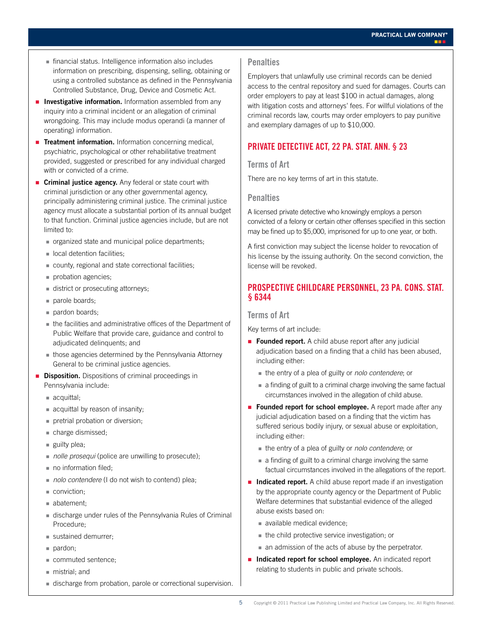- financial status. Intelligence information also includes information on prescribing, dispensing, selling, obtaining or using a controlled substance as defined in the Pennsylvania Controlled Substance, Drug, Device and Cosmetic Act.
- **Investigative information.** Information assembled from any inquiry into a criminal incident or an allegation of criminal wrongdoing. This may include modus operandi (a manner of operating) information.
- **Treatment information.** Information concerning medical, psychiatric, psychological or other rehabilitative treatment provided, suggested or prescribed for any individual charged with or convicted of a crime.
- **Criminal justice agency.** Any federal or state court with criminal jurisdiction or any other governmental agency, principally administering criminal justice. The criminal justice agency must allocate a substantial portion of its annual budget to that function. Criminal justice agencies include, but are not limited to:
	- organized state and municipal police departments;
	- ocal detention facilities:
	- county, regional and state correctional facilities;
	- probation agencies;
	- district or prosecuting attorneys;
	- parole boards;
	- pardon boards;
	- the facilities and administrative offices of the Department of Public Welfare that provide care, guidance and control to adjudicated delinquents; and
	- those agencies determined by the Pennsylvania Attorney General to be criminal justice agencies.
- **Disposition.** Dispositions of criminal proceedings in Pennsylvania include:
	- acquittal;
	- acquittal by reason of insanity;
	- pretrial probation or diversion;
	- charge dismissed;
	- $\blacksquare$  guilty plea;
	- *nolle prosequi* (police are unwilling to prosecute);
	- no information filed;
	- *nolo contendere* (I do not wish to contend) plea;
	- conviction:
	- abatement;
	- discharge under rules of the Pennsylvania Rules of Criminal Procedure;
	- sustained demurrer;
	- pardon;
	- commuted sentence;
	- mistrial; and
	- discharge from probation, parole or correctional supervision.

#### **Penalties**

Employers that unlawfully use criminal records can be denied access to the central repository and sued for damages. Courts can order employers to pay at least \$100 in actual damages, along with litigation costs and attorneys' fees. For willful violations of the criminal records law, courts may order employers to pay punitive and exemplary damages of up to \$10,000.

# **Private Detective Act, 22 Pa. Stat. Ann. § 23**

#### **Terms of Art**

There are no key terms of art in this statute.

#### **Penalties**

A licensed private detective who knowingly employs a person convicted of a felony or certain other offenses specified in this section may be fined up to \$5,000, imprisoned for up to one year, or both.

A first conviction may subject the license holder to revocation of his license by the issuing authority. On the second conviction, the license will be revoked.

# **Prospective Childcare Personnel, 23 Pa. Cons. Stat. § 6344**

#### **Terms of Art**

Key terms of art include:

- **Founded report.** A child abuse report after any judicial adjudication based on a finding that a child has been abused, including either:
	- the entry of a plea of guilty or *nolo contendere*; or
	- a finding of guilt to a criminal charge involving the same factual circumstances involved in the allegation of child abuse.
- **Founded report for school employee.** A report made after any judicial adjudication based on a finding that the victim has suffered serious bodily injury, or sexual abuse or exploitation, including either:
	- the entry of a plea of guilty or *nolo contendere*; or
	- a finding of guilt to a criminal charge involving the same factual circumstances involved in the allegations of the report.
- **Indicated report.** A child abuse report made if an investigation by the appropriate county agency or the Department of Public Welfare determines that substantial evidence of the alleged abuse exists based on:
	- available medical evidence;
	- $\blacksquare$  the child protective service investigation; or
	- an admission of the acts of abuse by the perpetrator.
- **Indicated report for school employee.** An indicated report relating to students in public and private schools.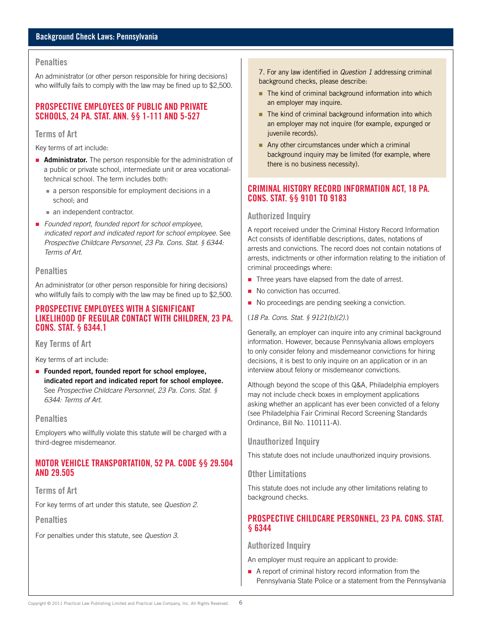#### **Penalties**

An administrator (or other person responsible for hiring decisions) who willfully fails to comply with the law may be fined up to \$2,500.

# **Prospective Employees of Public and Private Schools, 24 Pa. Stat. Ann. §§ 1-111 and 5-527**

#### **Terms of Art**

Key terms of art include:

- **Administrator.** The person responsible for the administration of a public or private school, intermediate unit or area vocationaltechnical school. The term includes both:
	- a person responsible for employment decisions in a school; and
	- an independent contractor.
- *Founded report, founded report for school employee, indicated report and indicated report for school employee.* See *Prospective Childcare Personnel, 23 Pa. Cons. Stat. § 6344: Terms of Art*.

#### **Penalties**

An administrator (or other person responsible for hiring decisions) who willfully fails to comply with the law may be fined up to \$2,500.

# **Prospective Employees with a Significant Likelihood of Regular Contact with Children, 23 Pa. Cons. Stat. § 6344.1**

**Key Terms of Art**

Key terms of art include:

**Founded report, founded report for school employee, indicated report and indicated report for school employee.** See *Prospective Childcare Personnel, 23 Pa. Cons. Stat. § 6344: Terms of Art*.

#### **Penalties**

Employers who willfully violate this statute will be charged with a third-degree misdemeanor.

# **Motor Vehicle Transportation, 52 Pa. Code §§ 29.504 and 29.505**

# **Terms of Art**

For key terms of art under this statute, see *Question 2*.

**Penalties**

For penalties under this statute, see *Question 3*.

7. For any law identified in *Question 1* addressing criminal background checks, please describe:

- The kind of criminal background information into which an employer may inquire.
- $\blacksquare$  The kind of criminal background information into which an employer may not inquire (for example, expunged or juvenile records).
- Any other circumstances under which a criminal background inquiry may be limited (for example, where there is no business necessity).

### **Criminal History Record Information Act, 18 Pa. Cons. Stat. §§ 9101 to 9183**

#### **Authorized Inquiry**

A report received under the Criminal History Record Information Act consists of identifiable descriptions, dates, notations of arrests and convictions. The record does not contain notations of arrests, indictments or other information relating to the initiation of criminal proceedings where:

- Three years have elapsed from the date of arrest.
- No conviction has occurred.
- No proceedings are pending seeking a conviction.

#### (*18 Pa. Cons. Stat. § 9121(b)(2)*.)

Generally, an employer can inquire into any criminal background information. However, because Pennsylvania allows employers to only consider felony and misdemeanor convictions for hiring decisions, it is best to only inquire on an application or in an interview about felony or misdemeanor convictions.

Although beyond the scope of this Q&A, Philadelphia employers may not include check boxes in employment applications asking whether an applicant has ever been convicted of a felony (see Philadelphia Fair Criminal Record Screening Standards Ordinance, Bill No. 110111-A).

#### **Unauthorized Inquiry**

This statute does not include unauthorized inquiry provisions.

#### **Other Limitations**

This statute does not include any other limitations relating to background checks.

# **Prospective Childcare Personnel, 23 Pa. Cons. Stat. § 6344**

#### **Authorized Inquiry**

An employer must require an applicant to provide:

A report of criminal history record information from the Pennsylvania State Police or a statement from the Pennsylvania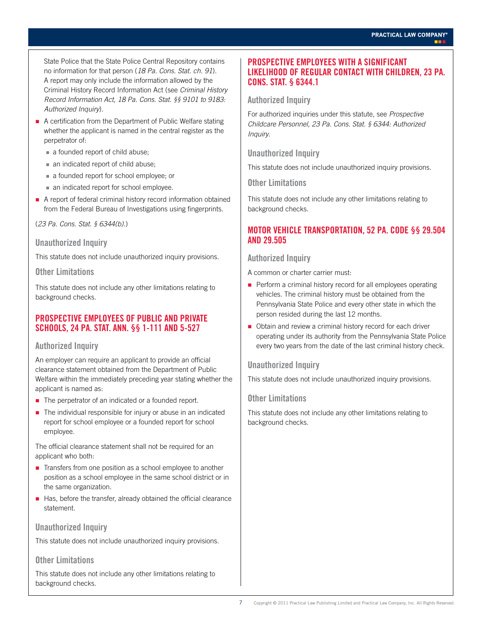State Police that the State Police Central Repository contains no information for that person (*18 Pa. Cons. Stat. ch. 91*). A report may only include the information allowed by the Criminal History Record Information Act (see *Criminal History Record Information Act, 18 Pa. Cons. Stat. §§ 9101 to 9183: Authorized Inquiry*).

- A certification from the Department of Public Welfare stating whether the applicant is named in the central register as the perpetrator of:
	- a founded report of child abuse;
	- an indicated report of child abuse;
	- a founded report for school employee; or
	- an indicated report for school employee.
- A report of federal criminal history record information obtained from the Federal Bureau of Investigations using fingerprints.

(*23 Pa. Cons. Stat. § 6344(b)*.)

#### **Unauthorized Inquiry**

This statute does not include unauthorized inquiry provisions.

#### **Other Limitations**

This statute does not include any other limitations relating to background checks.

# **Prospective Employees of Public and Private Schools, 24 Pa. Stat. Ann. §§ 1-111 and 5-527**

# **Authorized Inquiry**

An employer can require an applicant to provide an official clearance statement obtained from the Department of Public Welfare within the immediately preceding year stating whether the applicant is named as:

- The perpetrator of an indicated or a founded report.
- The individual responsible for injury or abuse in an indicated report for school employee or a founded report for school employee.

The official clearance statement shall not be required for an applicant who both:

- Transfers from one position as a school employee to another position as a school employee in the same school district or in the same organization.
- Has, before the transfer, already obtained the official clearance statement.

#### **Unauthorized Inquiry**

This statute does not include unauthorized inquiry provisions.

# **Other Limitations**

This statute does not include any other limitations relating to background checks.

#### **Prospective Employees with a Significant Likelihood of Regular Contact with Children, 23 Pa. Cons. Stat. § 6344.1**

#### **Authorized Inquiry**

For authorized inquiries under this statute, see *Prospective Childcare Personnel, 23 Pa. Cons. Stat. § 6344: Authorized Inquiry*.

### **Unauthorized Inquiry**

This statute does not include unauthorized inquiry provisions.

**Other Limitations**

This statute does not include any other limitations relating to background checks.

# **Motor Vehicle Transportation, 52 Pa. Code §§ 29.504 and 29.505**

#### **Authorized Inquiry**

A common or charter carrier must:

- **Perform a criminal history record for all employees operating** vehicles. The criminal history must be obtained from the Pennsylvania State Police and every other state in which the person resided during the last 12 months.
- Obtain and review a criminal history record for each driver operating under its authority from the Pennsylvania State Police every two years from the date of the last criminal history check.

# **Unauthorized Inquiry**

This statute does not include unauthorized inquiry provisions.

#### **Other Limitations**

This statute does not include any other limitations relating to background checks.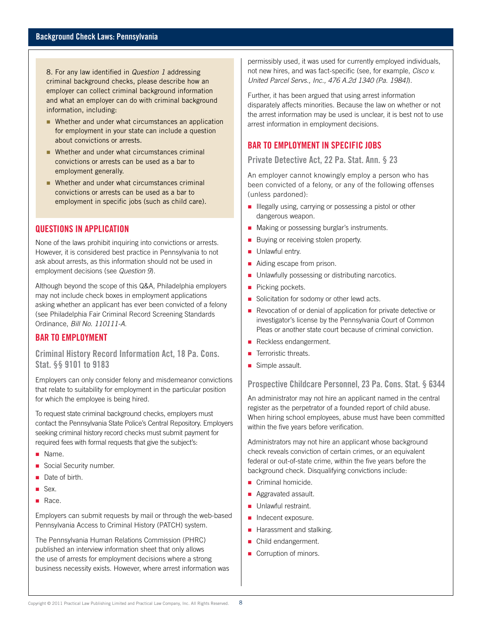8. For any law identified in *Question 1* addressing criminal background checks, please describe how an employer can collect criminal background information and what an employer can do with criminal background information, including:

- Whether and under what circumstances an application for employment in your state can include a question about convictions or arrests.
- Whether and under what circumstances criminal convictions or arrests can be used as a bar to employment generally.
- Whether and under what circumstances criminal convictions or arrests can be used as a bar to employment in specific jobs (such as child care).

#### **Questions in Application**

None of the laws prohibit inquiring into convictions or arrests. However, it is considered best practice in Pennsylvania to not ask about arrests, as this information should not be used in employment decisions (see *Question 9*).

Although beyond the scope of this Q&A, Philadelphia employers may not include check boxes in employment applications asking whether an applicant has ever been convicted of a felony (see Philadelphia Fair Criminal Record Screening Standards Ordinance, *Bill No. 110111-A*.

# **Bar to Employment**

**Criminal History Record Information Act, 18 Pa. Cons. Stat. §§ 9101 to 9183**

Employers can only consider felony and misdemeanor convictions that relate to suitability for employment in the particular position for which the employee is being hired.

To request state criminal background checks, employers must contact the Pennsylvania State Police's Central Repository. Employers seeking criminal history record checks must submit payment for required fees with formal requests that give the subject's:

- Name.
- Social Security number.
- Date of birth.
- Sex.
- Race.

Employers can submit requests by mail or through the web-based Pennsylvania Access to Criminal History (PATCH) system.

The Pennsylvania Human Relations Commission (PHRC) published an interview information sheet that only allows the use of arrests for employment decisions where a strong business necessity exists. However, where arrest information was permissibly used, it was used for currently employed individuals, not new hires, and was fact-specific (see, for example, *Cisco v. United Parcel Servs., Inc., 476 A.2d 1340 (Pa. 1984)*).

Further, it has been argued that using arrest information disparately affects minorities. Because the law on whether or not the arrest information may be used is unclear, it is best not to use arrest information in employment decisions.

# **Bar to Employment in Specific Jobs**

**Private Detective Act, 22 Pa. Stat. Ann. § 23**

An employer cannot knowingly employ a person who has been convicted of a felony, or any of the following offenses (unless pardoned):

- **Illegally using, carrying or possessing a pistol or other** dangerous weapon.
- **Making or possessing burglar's instruments.**
- Buying or receiving stolen property.
- **Unlawful entry.**
- Aiding escape from prison.
- **Unlawfully possessing or distributing narcotics.**
- Picking pockets.
- Solicitation for sodomy or other lewd acts.
- Revocation of or denial of application for private detective or investigator's license by the Pennsylvania Court of Common Pleas or another state court because of criminal conviction.
- Reckless endangerment.
- **Terroristic threats.**
- Simple assault.

**Prospective Childcare Personnel, 23 Pa. Cons. Stat. § 6344**

An administrator may not hire an applicant named in the central register as the perpetrator of a founded report of child abuse. When hiring school employees, abuse must have been committed within the five years before verification.

Administrators may not hire an applicant whose background check reveals conviction of certain crimes, or an equivalent federal or out-of-state crime, within the five years before the background check. Disqualifying convictions include:

- Criminal homicide.
- **Aggravated assault.**
- **Unlawful restraint.**
- Indecent exposure.
- **Harassment and stalking.**
- **Child endangerment.**
- Corruption of minors.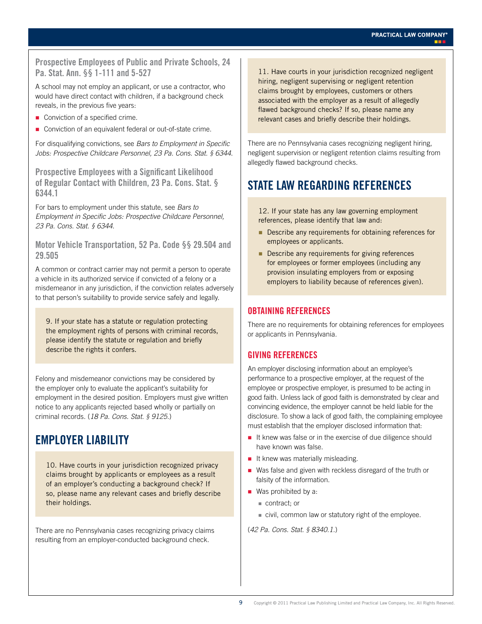**Prospective Employees of Public and Private Schools, 24 Pa. Stat. Ann. §§ 1-111 and 5-527**

A school may not employ an applicant, or use a contractor, who would have direct contact with children, if a background check reveals, in the previous five years:

- Conviction of a specified crime.
- Conviction of an equivalent federal or out-of-state crime.

For disqualifying convictions, see *Bars to Employment in Specific Jobs: Prospective Childcare Personnel, 23 Pa. Cons. Stat. § 6344*.

**Prospective Employees with a Significant Likelihood of Regular Contact with Children, 23 Pa. Cons. Stat. § 6344.1**

For bars to employment under this statute, see *Bars to Employment in Specific Jobs: Prospective Childcare Personnel, 23 Pa. Cons. Stat. § 6344*.

#### **Motor Vehicle Transportation, 52 Pa. Code §§ 29.504 and 29.505**

A common or contract carrier may not permit a person to operate a vehicle in its authorized service if convicted of a felony or a misdemeanor in any jurisdiction, if the conviction relates adversely to that person's suitability to provide service safely and legally.

9. If your state has a statute or regulation protecting the employment rights of persons with criminal records, please identify the statute or regulation and briefly describe the rights it confers.

Felony and misdemeanor convictions may be considered by the employer only to evaluate the applicant's suitability for employment in the desired position. Employers must give written notice to any applicants rejected based wholly or partially on criminal records. (*18 Pa. Cons. Stat. § 9125.*)

# **Employer Liability**

10. Have courts in your jurisdiction recognized privacy claims brought by applicants or employees as a result of an employer's conducting a background check? If so, please name any relevant cases and briefly describe their holdings.

There are no Pennsylvania cases recognizing privacy claims resulting from an employer-conducted background check.

11. Have courts in your jurisdiction recognized negligent hiring, negligent supervising or negligent retention claims brought by employees, customers or others associated with the employer as a result of allegedly flawed background checks? If so, please name any relevant cases and briefly describe their holdings.

There are no Pennsylvania cases recognizing negligent hiring, negligent supervision or negligent retention claims resulting from allegedly flawed background checks.

# **State Law Regarding References**

12. If your state has any law governing employment references, please identify that law and:

- Describe any requirements for obtaining references for employees or applicants.
- **Describe any requirements for giving references** for employees or former employees (including any provision insulating employers from or exposing employers to liability because of references given).

# **Obtaining References**

There are no requirements for obtaining references for employees or applicants in Pennsylvania.

# **Giving References**

An employer disclosing information about an employee's performance to a prospective employer, at the request of the employee or prospective employer, is presumed to be acting in good faith. Unless lack of good faith is demonstrated by clear and convincing evidence, the employer cannot be held liable for the disclosure. To show a lack of good faith, the complaining employee must establish that the employer disclosed information that:

- $\blacksquare$  It knew was false or in the exercise of due diligence should have known was false.
- $\blacksquare$  It knew was materially misleading.
- Was false and given with reckless disregard of the truth or falsity of the information.
- Was prohibited by a:
	- contract; or
	- civil, common law or statutory right of the employee.
- (*42 Pa. Cons. Stat. § 8340.1.*)